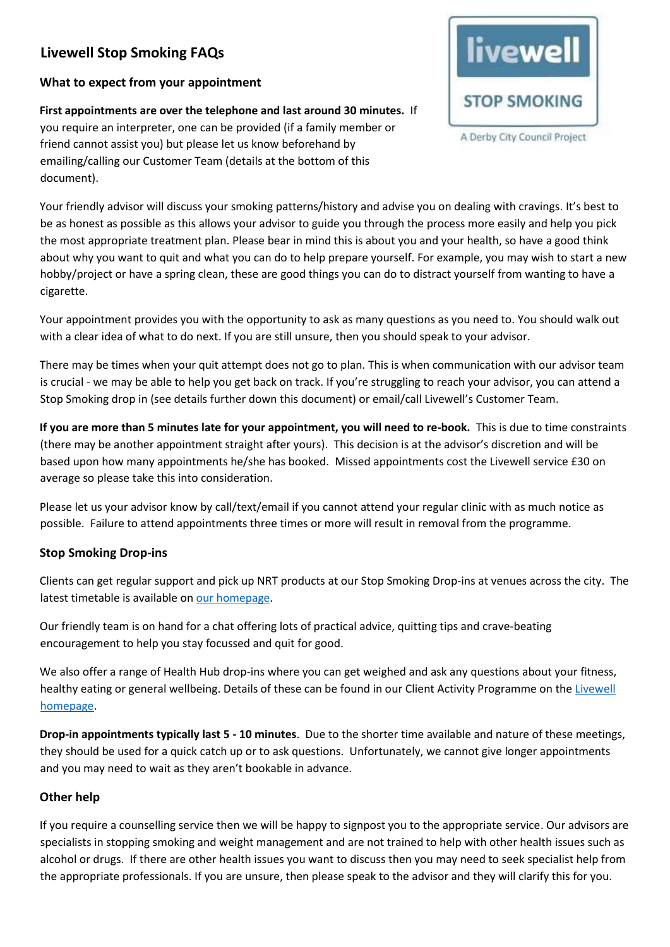# **Livewell Stop Smoking FAQs**

## **What to expect from your appointment**

**First appointments are over the telephone and last around 30 minutes.** If

you require an interpreter, one can be provided (if a family member or friend cannot assist you) but please let us know beforehand by emailing/calling our Customer Team (details at the bottom of this document).



Your friendly advisor will discuss your smoking patterns/history and advise you on dealing with cravings. It's best to be as honest as possible as this allows your advisor to guide you through the process more easily and help you pick the most appropriate treatment plan. Please bear in mind this is about you and your health, so have a good think about why you want to quit and what you can do to help prepare yourself. For example, you may wish to start a new hobby/project or have a spring clean, these are good things you can do to distract yourself from wanting to have a cigarette.

Your appointment provides you with the opportunity to ask as many questions as you need to. You should walk out with a clear idea of what to do next. If you are still unsure, then you should speak to your advisor.

There may be times when your quit attempt does not go to plan. This is when communication with our advisor team is crucial - we may be able to help you get back on track. If you're struggling to reach your advisor, you can attend a Stop Smoking drop in (see details further down this document) or email/call Livewell's Customer Team.

**If you are more than 5 minutes late for your appointment, you will need to re-book.** This is due to time constraints (there may be another appointment straight after yours). This decision is at the advisor's discretion and will be based upon how many appointments he/she has booked. Missed appointments cost the Livewell service £30 on average so please take this into consideration.

Please let us your advisor know by call/text/email if you cannot attend your regular clinic with as much notice as possible. Failure to attend appointments three times or more will result in removal from the programme.

## **Stop Smoking Drop-ins**

Clients can get regular support and pick up NRT products at our Stop Smoking Drop-ins at venues across the city. The latest timetable is available on [our homepage.](https://www.livewellderby.co.uk/)

Our friendly team is on hand for a chat offering lots of practical advice, quitting tips and crave-beating encouragement to help you stay focussed and quit for good.

We also offer a range of Health Hub drop-ins where you can get weighed and ask any questions about your fitness, healthy eating or general wellbeing. Details of these can be found in our Client Activity Programme on the [Livewell](https://www.livewellderby.co.uk/)  [homepage.](https://www.livewellderby.co.uk/)

**Drop-in appointments typically last 5 - 10 minutes**. Due to the shorter time available and nature of these meetings, they should be used for a quick catch up or to ask questions. Unfortunately, we cannot give longer appointments and you may need to wait as they aren't bookable in advance.

## **Other help**

If you require a counselling service then we will be happy to signpost you to the appropriate service. Our advisors are specialists in stopping smoking and weight management and are not trained to help with other health issues such as alcohol or drugs. If there are other health issues you want to discuss then you may need to seek specialist help from the appropriate professionals. If you are unsure, then please speak to the advisor and they will clarify this for you.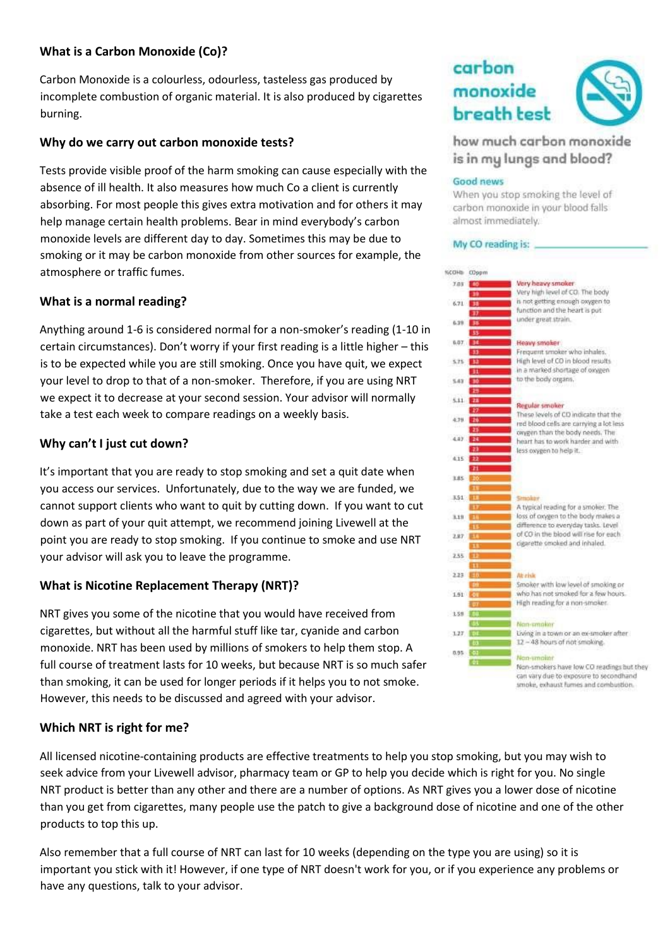## **What is a Carbon Monoxide (Co)?**

Carbon Monoxide is a colourless, odourless, tasteless gas produced by incomplete combustion of organic material. It is also produced by cigarettes burning.

## **Why do we carry out carbon monoxide tests?**

Tests provide visible proof of the harm smoking can cause especially with the absence of ill health. It also measures how much Co a client is currently absorbing. For most people this gives extra motivation and for others it may help manage certain health problems. Bear in mind everybody's carbon monoxide levels are different day to day. Sometimes this may be due to smoking or it may be carbon monoxide from other sources for example, the atmosphere or traffic fumes.

## **What is a normal reading?**

Anything around 1-6 is considered normal for a non-smoker's reading (1-10 in certain circumstances). Don't worry if your first reading is a little higher – this is to be expected while you are still smoking. Once you have quit, we expect your level to drop to that of a non-smoker. Therefore, if you are using NRT we expect it to decrease at your second session. Your advisor will normally take a test each week to compare readings on a weekly basis.

## **Why can't I just cut down?**

It's important that you are ready to stop smoking and set a quit date when you access our services. Unfortunately, due to the way we are funded, we cannot support clients who want to quit by cutting down. If you want to cut down as part of your quit attempt, we recommend joining Livewell at the point you are ready to stop smoking. If you continue to smoke and use NRT your advisor will ask you to leave the programme.

## **What is Nicotine Replacement Therapy (NRT)?**

NRT gives you some of the nicotine that you would have received from cigarettes, but without all the harmful stuff like tar, cyanide and carbon monoxide. NRT has been used by millions of smokers to help them stop. A full course of treatment lasts for 10 weeks, but because NRT is so much safer than smoking, it can be used for longer periods if it helps you to not smoke. However, this needs to be discussed and agreed with your advisor.

## **Which NRT is right for me?**

All licensed nicotine-containing products are effective treatments to help you stop smoking, but you may wish to seek advice from your Livewell advisor, pharmacy team or GP to help you decide which is right for you. No single NRT product is better than any other and there are a number of options. As NRT gives you a lower dose of nicotine than you get from cigarettes, many people use the patch to give a background dose of nicotine and one of the other products to top this up.

Also remember that a full course of NRT can last for 10 weeks (depending on the type you are using) so it is important you stick with it! However, if one type of NRT doesn't work for you, or if you experience any problems or have any questions, talk to your advisor.



## how much carbon monoxide is in my lungs and blood?

#### Good news

When you stop smoking the level of carbon monoxide in your blood falls almost immediately.

#### My CO reading is:

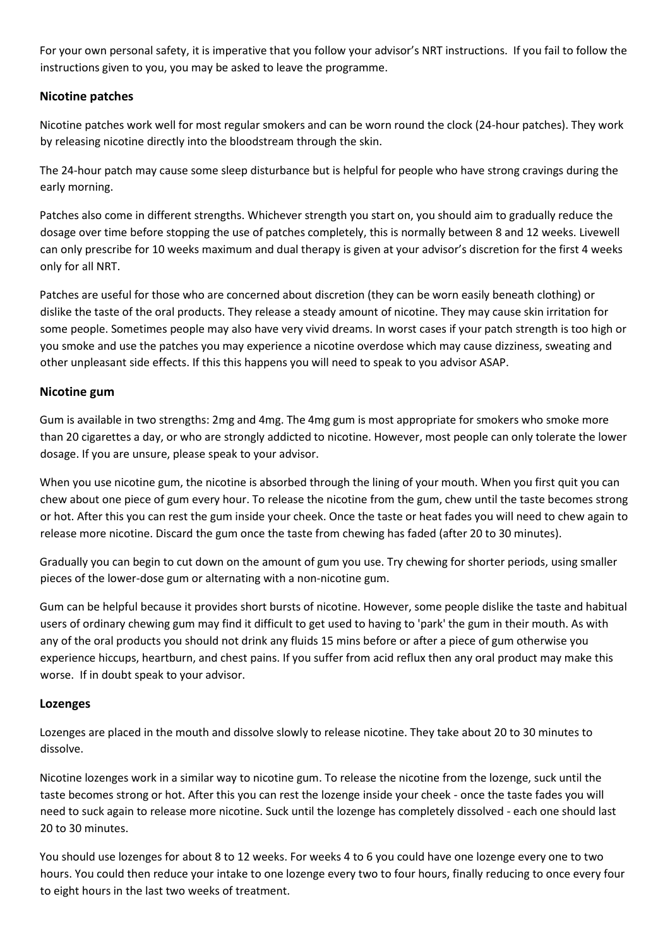For your own personal safety, it is imperative that you follow your advisor's NRT instructions. If you fail to follow the instructions given to you, you may be asked to leave the programme.

## **Nicotine patches**

Nicotine patches work well for most regular smokers and can be worn round the clock (24-hour patches). They work by releasing nicotine directly into the bloodstream through the skin.

The 24-hour patch may cause some sleep disturbance but is helpful for people who have strong cravings during the early morning.

Patches also come in different strengths. Whichever strength you start on, you should aim to gradually reduce the dosage over time before stopping the use of patches completely, this is normally between 8 and 12 weeks. Livewell can only prescribe for 10 weeks maximum and dual therapy is given at your advisor's discretion for the first 4 weeks only for all NRT.

Patches are useful for those who are concerned about discretion (they can be worn easily beneath clothing) or dislike the taste of the oral products. They release a steady amount of nicotine. They may cause skin irritation for some people. Sometimes people may also have very vivid dreams. In worst cases if your patch strength is too high or you smoke and use the patches you may experience a nicotine overdose which may cause dizziness, sweating and other unpleasant side effects. If this this happens you will need to speak to you advisor ASAP.

## **Nicotine gum**

Gum is available in two strengths: 2mg and 4mg. The 4mg gum is most appropriate for smokers who smoke more than 20 cigarettes a day, or who are strongly addicted to nicotine. However, most people can only tolerate the lower dosage. If you are unsure, please speak to your advisor.

When you use nicotine gum, the nicotine is absorbed through the lining of your mouth. When you first quit you can chew about one piece of gum every hour. To release the nicotine from the gum, chew until the taste becomes strong or hot. After this you can rest the gum inside your cheek. Once the taste or heat fades you will need to chew again to release more nicotine. Discard the gum once the taste from chewing has faded (after 20 to 30 minutes).

Gradually you can begin to cut down on the amount of gum you use. Try chewing for shorter periods, using smaller pieces of the lower-dose gum or alternating with a non-nicotine gum.

Gum can be helpful because it provides short bursts of nicotine. However, some people dislike the taste and habitual users of ordinary chewing gum may find it difficult to get used to having to 'park' the gum in their mouth. As with any of the oral products you should not drink any fluids 15 mins before or after a piece of gum otherwise you experience hiccups, heartburn, and chest pains. If you suffer from acid reflux then any oral product may make this worse. If in doubt speak to your advisor.

## **Lozenges**

Lozenges are placed in the mouth and dissolve slowly to release nicotine. They take about 20 to 30 minutes to dissolve.

Nicotine lozenges work in a similar way to nicotine gum. To release the nicotine from the lozenge, suck until the taste becomes strong or hot. After this you can rest the lozenge inside your cheek - once the taste fades you will need to suck again to release more nicotine. Suck until the lozenge has completely dissolved - each one should last 20 to 30 minutes.

You should use lozenges for about 8 to 12 weeks. For weeks 4 to 6 you could have one lozenge every one to two hours. You could then reduce your intake to one lozenge every two to four hours, finally reducing to once every four to eight hours in the last two weeks of treatment.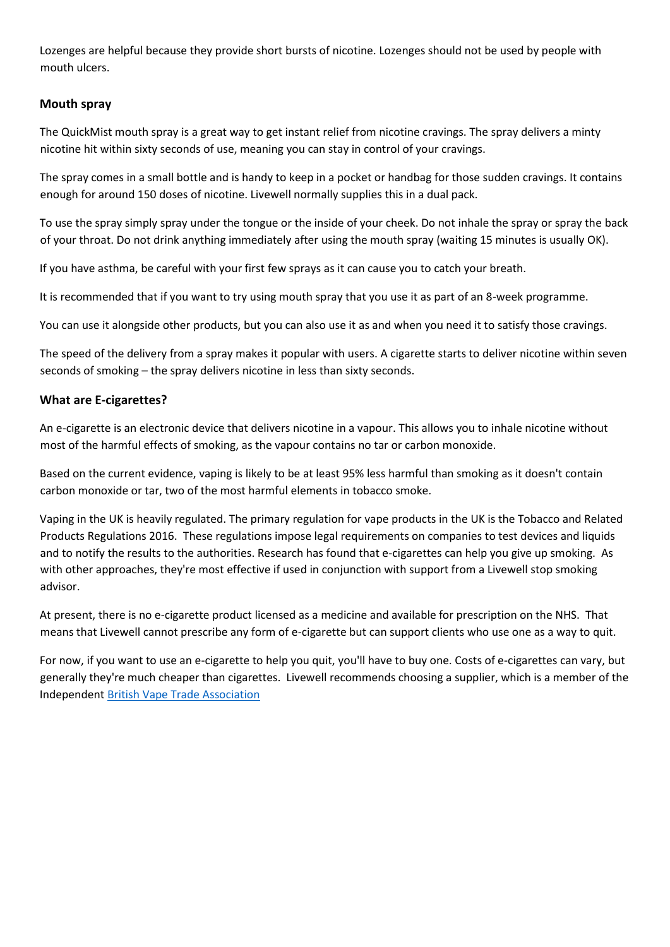Lozenges are helpful because they provide short bursts of nicotine. Lozenges should not be used by people with mouth ulcers.

## **Mouth spray**

The QuickMist mouth spray is a great way to get instant relief from nicotine cravings. The spray delivers a minty nicotine hit within sixty seconds of use, meaning you can stay in control of your cravings.

The spray comes in a small bottle and is handy to keep in a pocket or handbag for those sudden cravings. It contains enough for around 150 doses of nicotine. Livewell normally supplies this in a dual pack.

To use the spray simply spray under the tongue or the inside of your cheek. Do not inhale the spray or spray the back of your throat. Do not drink anything immediately after using the mouth spray (waiting 15 minutes is usually OK).

If you have asthma, be careful with your first few sprays as it can cause you to catch your breath.

It is recommended that if you want to try using mouth spray that you use it as part of an 8-week programme.

You can use it alongside other products, but you can also use it as and when you need it to satisfy those cravings.

The speed of the delivery from a spray makes it popular with users. A cigarette starts to deliver nicotine within seven seconds of smoking – the spray delivers nicotine in less than sixty seconds.

#### **What are E-cigarettes?**

An e-cigarette is an electronic device that delivers nicotine in a vapour. This allows you to inhale nicotine without most of the harmful effects of smoking, as the vapour contains no tar or carbon monoxide.

Based on the current evidence, vaping is likely to be at least 95% less harmful than smoking as it doesn't contain carbon monoxide or tar, two of the most harmful elements in tobacco smoke.

Vaping in the UK is heavily regulated. The primary regulation for vape products in the UK is the Tobacco and Related Products Regulations 2016. These regulations impose legal requirements on companies to test devices and liquids and to notify the results to the authorities. Research has found that e-cigarettes can help you give up smoking. As with other approaches, they're most effective if used in conjunction with support from a Livewell stop smoking advisor.

At present, there is no e-cigarette product licensed as a medicine and available for prescription on the NHS. That means that Livewell cannot prescribe any form of e-cigarette but can support clients who use one as a way to quit.

For now, if you want to use an e-cigarette to help you quit, you'll have to buy one. Costs of e-cigarettes can vary, but generally they're much cheaper than cigarettes. Livewell recommends choosing a supplier, which is a member of the Independent [British Vape Trade Association](https://www.ibvta.org.uk/about-us/members)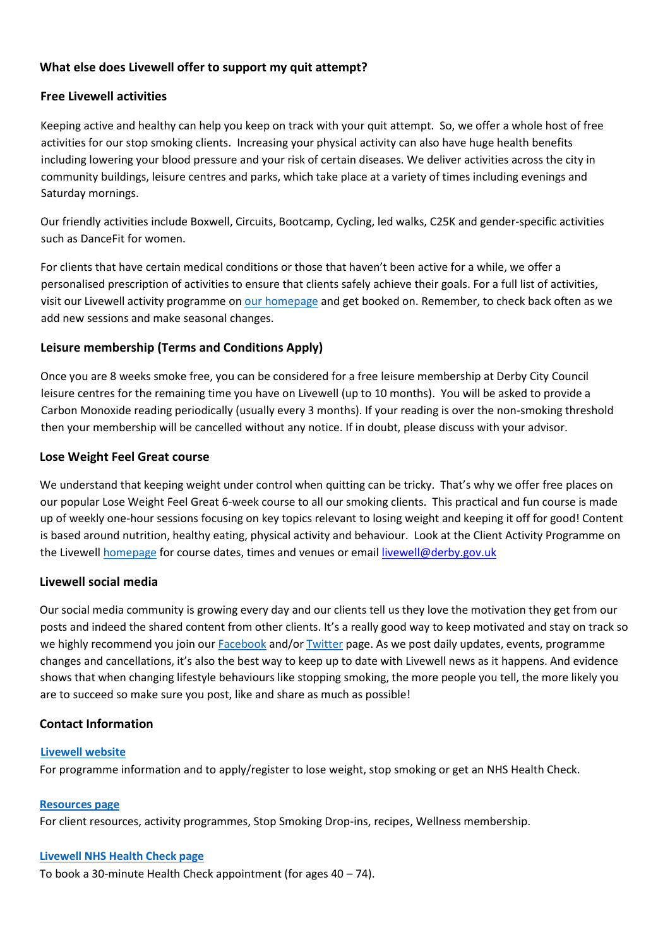## **What else does Livewell offer to support my quit attempt?**

## **Free Livewell activities**

Keeping active and healthy can help you keep on track with your quit attempt. So, we offer a whole host of free activities for our stop smoking clients. Increasing your physical activity can also have huge health benefits including lowering your blood pressure and your risk of certain diseases. We deliver activities across the city in community buildings, leisure centres and parks, which take place at a variety of times including evenings and Saturday mornings.

Our friendly activities include Boxwell, Circuits, Bootcamp, Cycling, led walks, C25K and gender-specific activities such as DanceFit for women.

For clients that have certain medical conditions or those that haven't been active for a while, we offer a personalised prescription of activities to ensure that clients safely achieve their goals. For a full list of activities, visit our Livewell activity programme o[n our homepage](https://www.livewellderby.co.uk/) and get booked on. Remember, to check back often as we add new sessions and make seasonal changes.

## **Leisure membership (Terms and Conditions Apply)**

Once you are 8 weeks smoke free, you can be considered for a free leisure membership at Derby City Council leisure centres for the remaining time you have on Livewell (up to 10 months). You will be asked to provide a Carbon Monoxide reading periodically (usually every 3 months). If your reading is over the non-smoking threshold then your membership will be cancelled without any notice. If in doubt, please discuss with your advisor.

## **Lose Weight Feel Great course**

We understand that keeping weight under control when quitting can be tricky. That's why we offer free places on our popular Lose Weight Feel Great 6-week course to all our smoking clients. This practical and fun course is made up of weekly one-hour sessions focusing on key topics relevant to losing weight and keeping it off for good! Content is based around nutrition, healthy eating, physical activity and behaviour. Look at the Client Activity Programme on the Livewel[l homepage](https://www.livewellderby.co.uk/) for course dates, times and venues or email livewell@derby.gov.uk

## **Livewell social media**

Our social media community is growing every day and our clients tell us they love the motivation they get from our posts and indeed the shared content from other clients. It's a really good way to keep motivated and stay on track so we highly recommend you join our [Facebook](https://www.facebook.com/livewellderby) and/o[r Twitter](https://twitter.com/LivewellDerby) page. As we post daily updates, events, programme changes and cancellations, it's also the best way to keep up to date with Livewell news as it happens. And evidence shows that when changing lifestyle behaviours like stopping smoking, the more people you tell, the more likely you are to succeed so make sure you post, like and share as much as possible!

## **Contact Information**

## **[Livewell website](https://www.livewellderby.co.uk/)**

For programme information and to apply/register to lose weight, stop smoking or get an NHS Health Check.

## **[Resources page](https://www.livewellderby.co.uk/resources)**

For client resources, activity programmes, Stop Smoking Drop-ins, recipes, Wellness membership.

## **[Livewell NHS Health Check page](https://www.livewellderby.co.uk/nhs-health-checks)**

To book a 30-minute Health Check appointment (for ages  $40 - 74$ ).